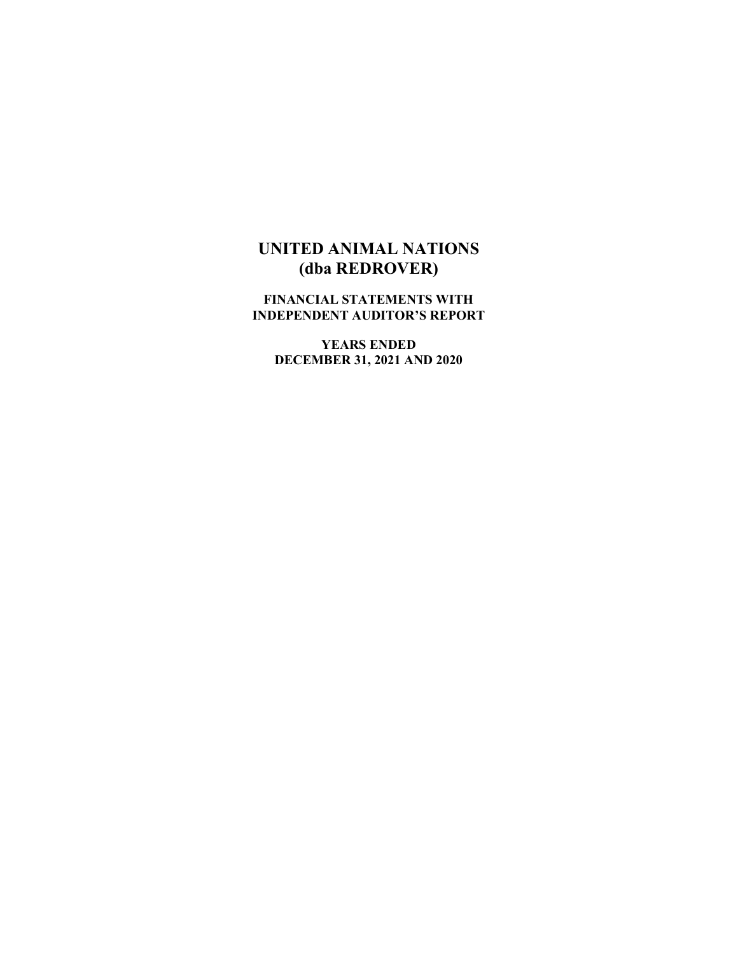FINANCIAL STATEMENTS WITH INDEPENDENT AUDITOR'S REPORT

YEARS ENDED DECEMBER 31, 2021 AND 2020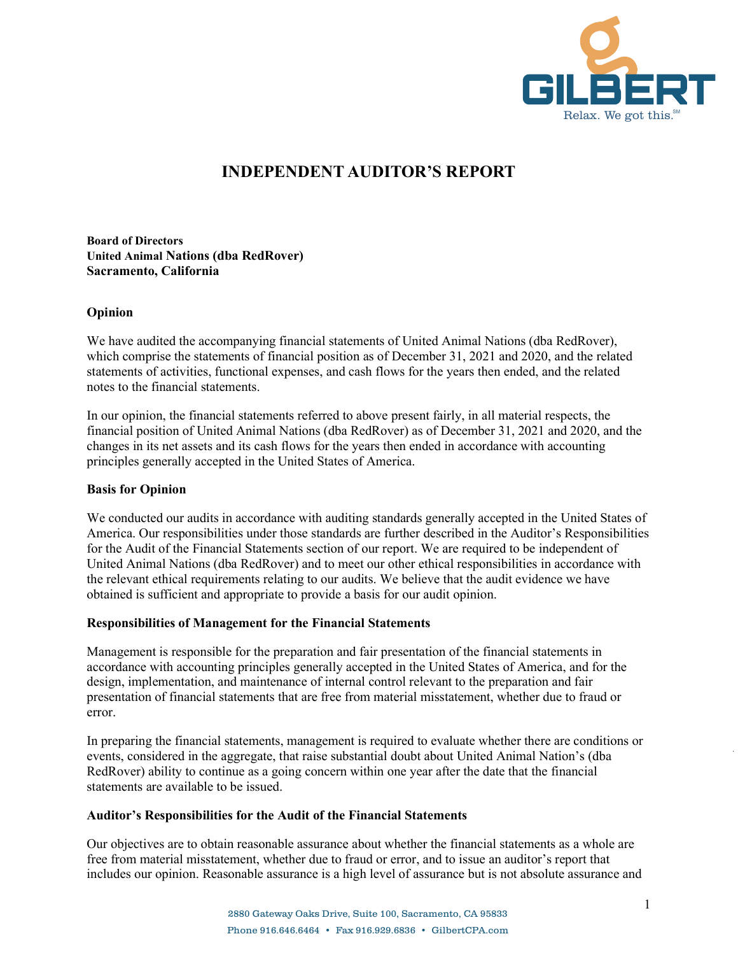

# INDEPENDENT AUDITOR'S REPORT

Board of Directors United Animal Nations (dba RedRover) Sacramento, California

#### Opinion

We have audited the accompanying financial statements of United Animal Nations (dba RedRover), which comprise the statements of financial position as of December 31, 2021 and 2020, and the related statements of activities, functional expenses, and cash flows for the years then ended, and the related notes to the financial statements.

In our opinion, the financial statements referred to above present fairly, in all material respects, the financial position of United Animal Nations (dba RedRover) as of December 31, 2021 and 2020, and the changes in its net assets and its cash flows for the years then ended in accordance with accounting principles generally accepted in the United States of America.

#### Basis for Opinion

We conducted our audits in accordance with auditing standards generally accepted in the United States of America. Our responsibilities under those standards are further described in the Auditor's Responsibilities for the Audit of the Financial Statements section of our report. We are required to be independent of United Animal Nations (dba RedRover) and to meet our other ethical responsibilities in accordance with the relevant ethical requirements relating to our audits. We believe that the audit evidence we have obtained is sufficient and appropriate to provide a basis for our audit opinion.

### Responsibilities of Management for the Financial Statements

Management is responsible for the preparation and fair presentation of the financial statements in accordance with accounting principles generally accepted in the United States of America, and for the design, implementation, and maintenance of internal control relevant to the preparation and fair presentation of financial statements that are free from material misstatement, whether due to fraud or error.

In preparing the financial statements, management is required to evaluate whether there are conditions or events, considered in the aggregate, that raise substantial doubt about United Animal Nation's (dba RedRover) ability to continue as a going concern within one year after the date that the financial statements are available to be issued.

#### Auditor's Responsibilities for the Audit of the Financial Statements

Our objectives are to obtain reasonable assurance about whether the financial statements as a whole are free from material misstatement, whether due to fraud or error, and to issue an auditor's report that includes our opinion. Reasonable assurance is a high level of assurance but is not absolute assurance and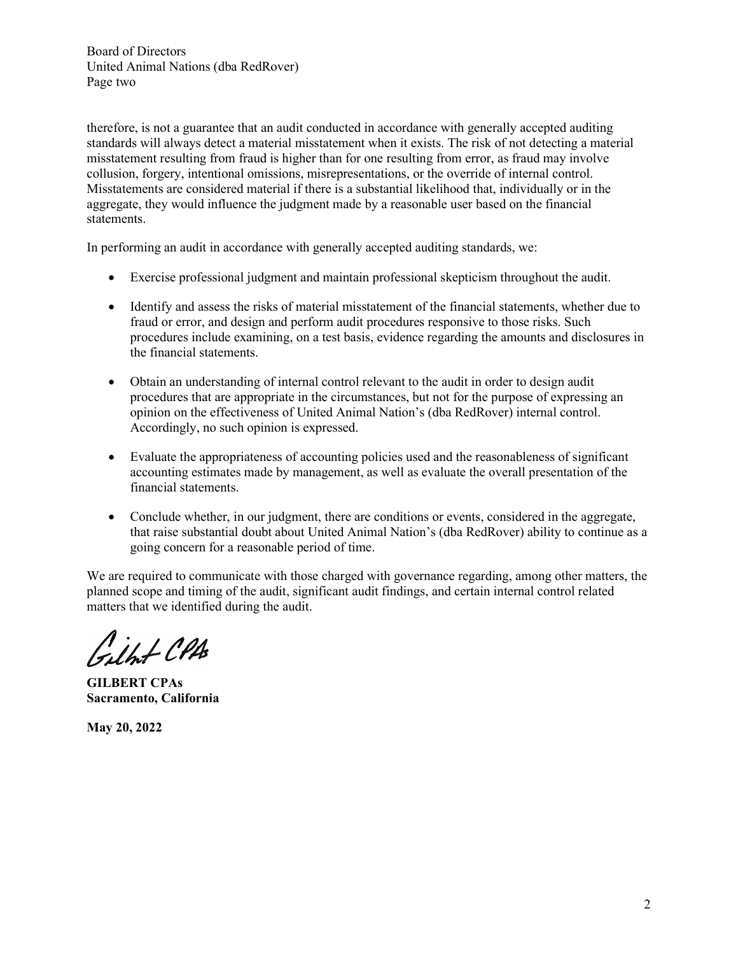Board of Directors United Animal Nations (dba RedRover) Page two

therefore, is not a guarantee that an audit conducted in accordance with generally accepted auditing standards will always detect a material misstatement when it exists. The risk of not detecting a material misstatement resulting from fraud is higher than for one resulting from error, as fraud may involve collusion, forgery, intentional omissions, misrepresentations, or the override of internal control. Misstatements are considered material if there is a substantial likelihood that, individually or in the aggregate, they would influence the judgment made by a reasonable user based on the financial statements.

In performing an audit in accordance with generally accepted auditing standards, we:

- Exercise professional judgment and maintain professional skepticism throughout the audit.
- Identify and assess the risks of material misstatement of the financial statements, whether due to fraud or error, and design and perform audit procedures responsive to those risks. Such procedures include examining, on a test basis, evidence regarding the amounts and disclosures in the financial statements.
- Obtain an understanding of internal control relevant to the audit in order to design audit procedures that are appropriate in the circumstances, but not for the purpose of expressing an opinion on the effectiveness of United Animal Nation's (dba RedRover) internal control. Accordingly, no such opinion is expressed.
- Evaluate the appropriateness of accounting policies used and the reasonableness of significant accounting estimates made by management, as well as evaluate the overall presentation of the financial statements.
- Conclude whether, in our judgment, there are conditions or events, considered in the aggregate, that raise substantial doubt about United Animal Nation's (dba RedRover) ability to continue as a going concern for a reasonable period of time.

We are required to communicate with those charged with governance regarding, among other matters, the planned scope and timing of the audit, significant audit findings, and certain internal control related matters that we identified during the audit.

iht CPA

GILBERT CPAs Sacramento, California

May 20, 2022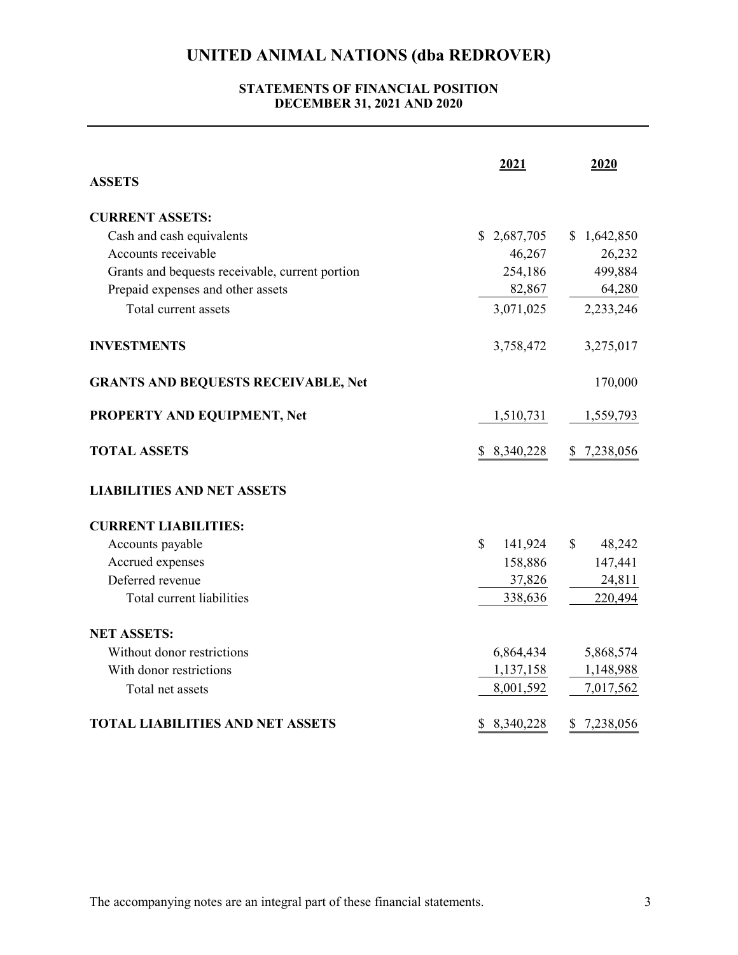## STATEMENTS OF FINANCIAL POSITION DECEMBER 31, 2021 AND 2020

|                                                 | 2021                   | 2020            |
|-------------------------------------------------|------------------------|-----------------|
| <b>ASSETS</b>                                   |                        |                 |
| <b>CURRENT ASSETS:</b>                          |                        |                 |
| Cash and cash equivalents                       | \$2,687,705            | \$1,642,850     |
| Accounts receivable                             | 46,267                 | 26,232          |
| Grants and bequests receivable, current portion | 254,186                | 499,884         |
| Prepaid expenses and other assets               | 82,867                 | 64,280          |
| Total current assets                            | 3,071,025              | 2,233,246       |
| <b>INVESTMENTS</b>                              | 3,758,472              | 3,275,017       |
| <b>GRANTS AND BEQUESTS RECEIVABLE, Net</b>      |                        | 170,000         |
| PROPERTY AND EQUIPMENT, Net                     | 1,510,731              | 1,559,793       |
| <b>TOTAL ASSETS</b>                             | \$8,340,228            | \$7,238,056     |
| <b>LIABILITIES AND NET ASSETS</b>               |                        |                 |
| <b>CURRENT LIABILITIES:</b>                     |                        |                 |
| Accounts payable                                | $\mathbf S$<br>141,924 | \$<br>48,242    |
| Accrued expenses                                | 158,886                | 147,441         |
| Deferred revenue                                | 37,826                 | 24,811          |
| Total current liabilities                       | 338,636                | 220,494         |
| <b>NET ASSETS:</b>                              |                        |                 |
| Without donor restrictions                      | 6,864,434              | 5,868,574       |
| With donor restrictions                         | 1,137,158              | 1,148,988       |
| Total net assets                                | 8,001,592              | 7,017,562       |
| <b>TOTAL LIABILITIES AND NET ASSETS</b>         | \$8,340,228            | 7,238,056<br>\$ |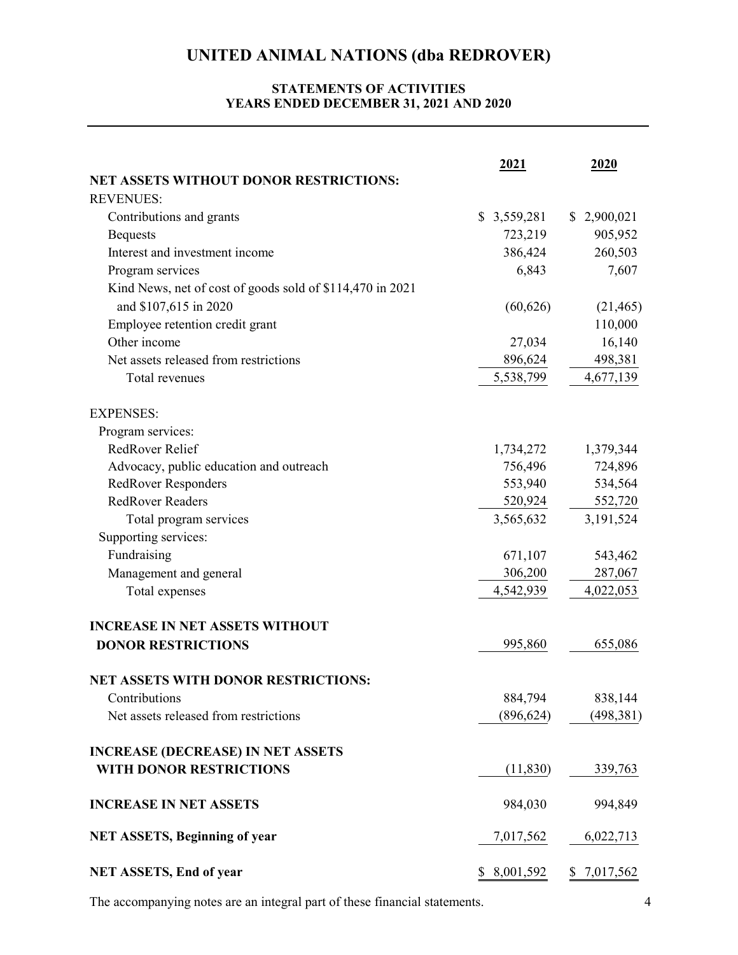## STATEMENTS OF ACTIVITIES YEARS ENDED DECEMBER 31, 2021 AND 2020

|                                                           | 2021            | 2020        |
|-----------------------------------------------------------|-----------------|-------------|
| <b>NET ASSETS WITHOUT DONOR RESTRICTIONS:</b>             |                 |             |
| <b>REVENUES:</b>                                          |                 |             |
| Contributions and grants                                  | \$3,559,281     | \$2,900,021 |
| <b>Bequests</b>                                           | 723,219         | 905,952     |
| Interest and investment income                            | 386,424         | 260,503     |
| Program services                                          | 6,843           | 7,607       |
| Kind News, net of cost of goods sold of \$114,470 in 2021 |                 |             |
| and \$107,615 in 2020                                     | (60, 626)       | (21, 465)   |
| Employee retention credit grant                           |                 | 110,000     |
| Other income                                              | 27,034          | 16,140      |
| Net assets released from restrictions                     | 896,624         | 498,381     |
| Total revenues                                            | 5,538,799       | 4,677,139   |
| <b>EXPENSES:</b>                                          |                 |             |
| Program services:                                         |                 |             |
| RedRover Relief                                           | 1,734,272       | 1,379,344   |
| Advocacy, public education and outreach                   | 756,496         | 724,896     |
| <b>RedRover Responders</b>                                | 553,940         | 534,564     |
| <b>RedRover Readers</b>                                   | 520,924         | 552,720     |
| Total program services                                    | 3,565,632       | 3,191,524   |
| Supporting services:                                      |                 |             |
| Fundraising                                               | 671,107         | 543,462     |
| Management and general                                    | 306,200         | 287,067     |
| Total expenses                                            | 4,542,939       | 4,022,053   |
| <b>INCREASE IN NET ASSETS WITHOUT</b>                     |                 |             |
| <b>DONOR RESTRICTIONS</b>                                 | 995,860         | 655,086     |
| <b>NET ASSETS WITH DONOR RESTRICTIONS:</b>                |                 |             |
| Contributions                                             | 884,794         | 838,144     |
| Net assets released from restrictions                     | (896, 624)      | (498, 381)  |
| <b>INCREASE (DECREASE) IN NET ASSETS</b>                  |                 |             |
| <b>WITH DONOR RESTRICTIONS</b>                            | (11, 830)       | 339,763     |
| <b>INCREASE IN NET ASSETS</b>                             | 984,030         | 994,849     |
| <b>NET ASSETS, Beginning of year</b>                      | 7,017,562       | 6,022,713   |
| <b>NET ASSETS, End of year</b>                            | 8,001,592<br>\$ | 7,017,562   |

The accompanying notes are an integral part of these financial statements. 4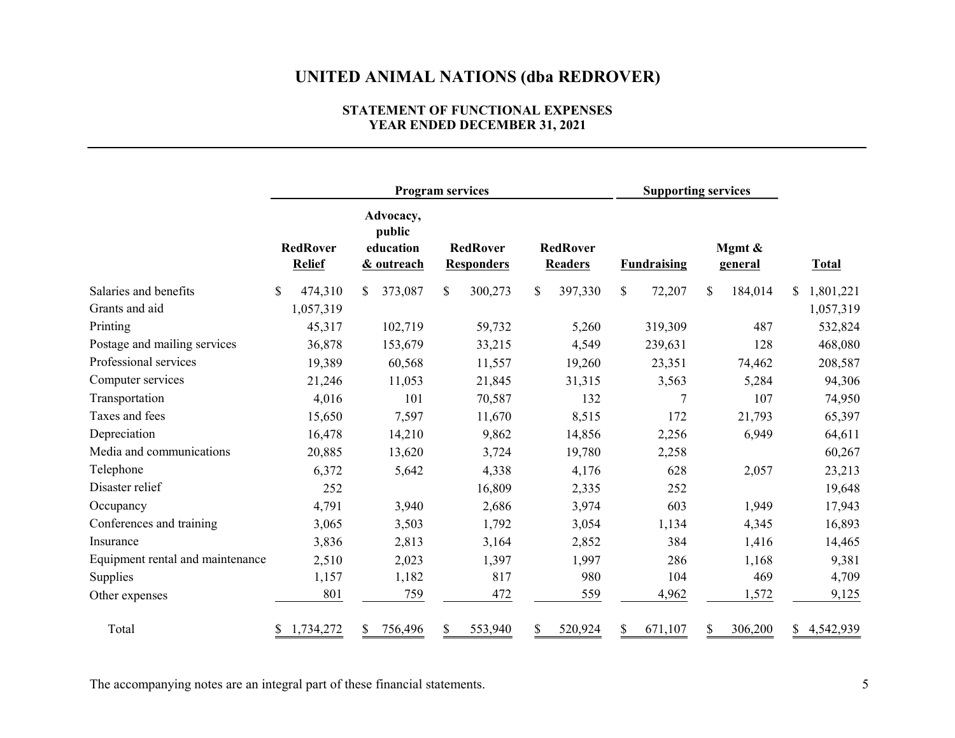### YEAR ENDED DECEMBER 31, 2021 STATEMENT OF FUNCTIONAL EXPENSES

|                                  | <b>Program services</b>          |                                                           |                                      | <b>Supporting services</b>        |                    |                      |                 |
|----------------------------------|----------------------------------|-----------------------------------------------------------|--------------------------------------|-----------------------------------|--------------------|----------------------|-----------------|
|                                  | <b>RedRover</b><br><b>Relief</b> | Advocacy,<br>public<br>education<br><u>&amp; outreach</u> | <b>RedRover</b><br><b>Responders</b> | <b>RedRover</b><br><b>Readers</b> | <b>Fundraising</b> | Mgmt $\&$<br>general | <b>Total</b>    |
| Salaries and benefits            | \$<br>474,310                    | 373,087<br>$\mathbb{S}$                                   | $\mathbb{S}$<br>300,273              | \$<br>397,330                     | \$<br>72,207       | \$<br>184,014        | 1,801,221<br>\$ |
| Grants and aid                   | 1,057,319                        |                                                           |                                      |                                   |                    |                      | 1,057,319       |
| Printing                         | 45,317                           | 102,719                                                   | 59,732                               | 5,260                             | 319,309            | 487                  | 532,824         |
| Postage and mailing services     | 36,878                           | 153,679                                                   | 33,215                               | 4,549                             | 239,631            | 128                  | 468,080         |
| Professional services            | 19,389                           | 60,568                                                    | 11,557                               | 19,260                            | 23,351             | 74,462               | 208,587         |
| Computer services                | 21,246                           | 11,053                                                    | 21,845                               | 31,315                            | 3,563              | 5,284                | 94,306          |
| Transportation                   | 4,016                            | 101                                                       | 70,587                               | 132                               | 7                  | 107                  | 74,950          |
| Taxes and fees                   | 15,650                           | 7,597                                                     | 11,670                               | 8,515                             | 172                | 21,793               | 65,397          |
| Depreciation                     | 16,478                           | 14,210                                                    | 9,862                                | 14,856                            | 2,256              | 6,949                | 64,611          |
| Media and communications         | 20,885                           | 13,620                                                    | 3,724                                | 19,780                            | 2,258              |                      | 60,267          |
| Telephone                        | 6,372                            | 5,642                                                     | 4,338                                | 4,176                             | 628                | 2,057                | 23,213          |
| Disaster relief                  | 252                              |                                                           | 16,809                               | 2,335                             | 252                |                      | 19,648          |
| Occupancy                        | 4,791                            | 3,940                                                     | 2,686                                | 3,974                             | 603                | 1,949                | 17,943          |
| Conferences and training         | 3,065                            | 3,503                                                     | 1,792                                | 3,054                             | 1,134              | 4,345                | 16,893          |
| Insurance                        | 3,836                            | 2,813                                                     | 3,164                                | 2,852                             | 384                | 1,416                | 14,465          |
| Equipment rental and maintenance | 2,510                            | 2,023                                                     | 1,397                                | 1,997                             | 286                | 1,168                | 9,381           |
| Supplies                         | 1,157                            | 1,182                                                     | 817                                  | 980                               | 104                | 469                  | 4,709           |
| Other expenses                   | 801                              | 759                                                       | 472                                  | 559                               | 4,962              | 1,572                | 9,125           |
| Total                            | 1,734,272<br>\$                  | 756,496                                                   | 553,940<br>\$                        | 520,924<br>\$                     | 671,107<br>\$      | 306,200<br>\$        | 4,542,939<br>\$ |

The accompanying notes are an integral part of these financial statements. 5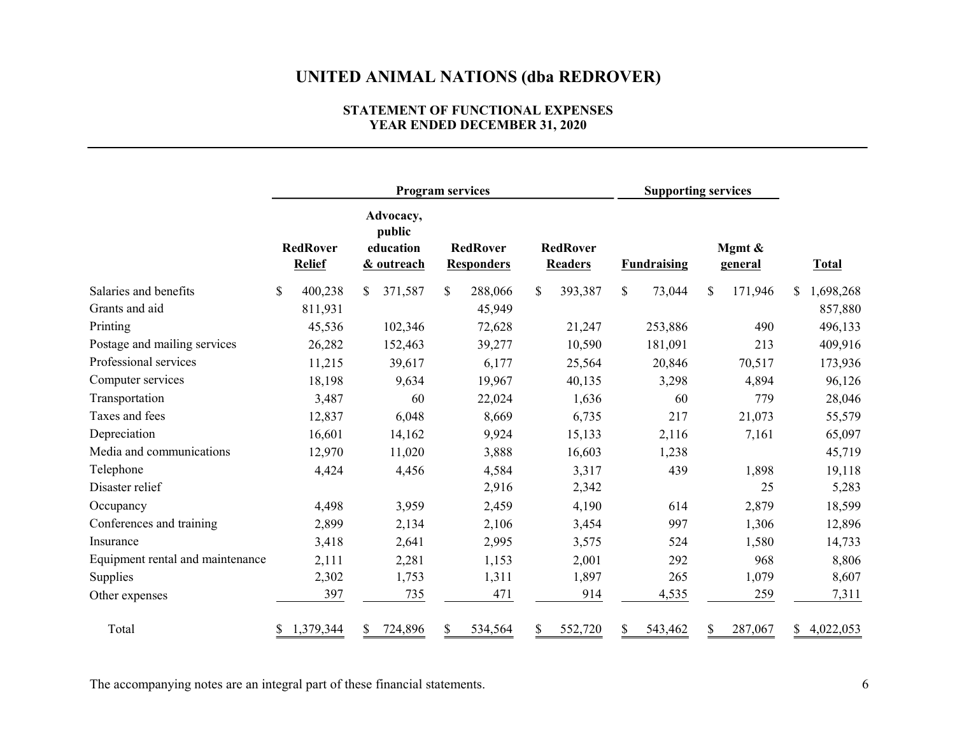### STATEMENT OF FUNCTIONAL EXPENSES YEAR ENDED DECEMBER 31, 2020

|                                  | <b>Program services</b>          |                                                           | <b>Supporting services</b>           |                                   |                    |                      |                 |
|----------------------------------|----------------------------------|-----------------------------------------------------------|--------------------------------------|-----------------------------------|--------------------|----------------------|-----------------|
|                                  | <b>RedRover</b><br><b>Relief</b> | Advocacy,<br>public<br>education<br><u>&amp; outreach</u> | <b>RedRover</b><br><b>Responders</b> | <b>RedRover</b><br><b>Readers</b> | <b>Fundraising</b> | Mgmt $\&$<br>general | <b>Total</b>    |
| Salaries and benefits            | \$<br>400,238                    | 371,587<br>$\mathbb{S}$                                   | \$<br>288,066                        | 393,387<br>\$                     | \$<br>73,044       | \$<br>171,946        | 1,698,268<br>\$ |
| Grants and aid                   | 811,931                          |                                                           | 45,949                               |                                   |                    |                      | 857,880         |
| Printing                         | 45,536                           | 102,346                                                   | 72,628                               | 21,247                            | 253,886            | 490                  | 496,133         |
| Postage and mailing services     | 26,282                           | 152,463                                                   | 39,277                               | 10,590                            | 181,091            | 213                  | 409,916         |
| Professional services            | 11,215                           | 39,617                                                    | 6,177                                | 25,564                            | 20,846             | 70,517               | 173,936         |
| Computer services                | 18,198                           | 9,634                                                     | 19,967                               | 40,135                            | 3,298              | 4,894                | 96,126          |
| Transportation                   | 3,487                            | 60                                                        | 22,024                               | 1,636                             | 60                 | 779                  | 28,046          |
| Taxes and fees                   | 12,837                           | 6,048                                                     | 8,669                                | 6,735                             | 217                | 21,073               | 55,579          |
| Depreciation                     | 16,601                           | 14,162                                                    | 9,924                                | 15,133                            | 2,116              | 7,161                | 65,097          |
| Media and communications         | 12,970                           | 11,020                                                    | 3,888                                | 16,603                            | 1,238              |                      | 45,719          |
| Telephone                        | 4,424                            | 4,456                                                     | 4,584                                | 3,317                             | 439                | 1,898                | 19,118          |
| Disaster relief                  |                                  |                                                           | 2,916                                | 2,342                             |                    | 25                   | 5,283           |
| Occupancy                        | 4,498                            | 3,959                                                     | 2,459                                | 4,190                             | 614                | 2,879                | 18,599          |
| Conferences and training         | 2,899                            | 2,134                                                     | 2,106                                | 3,454                             | 997                | 1,306                | 12,896          |
| Insurance                        | 3,418                            | 2,641                                                     | 2,995                                | 3,575                             | 524                | 1,580                | 14,733          |
| Equipment rental and maintenance | 2,111                            | 2,281                                                     | 1,153                                | 2,001                             | 292                | 968                  | 8,806           |
| Supplies                         | 2,302                            | 1,753                                                     | 1,311                                | 1,897                             | 265                | 1,079                | 8,607           |
| Other expenses                   | 397                              | 735                                                       | 471                                  | 914                               | 4,535              | 259                  | 7,311           |
| Total                            | 1,379,344<br>\$                  | 724,896                                                   | \$<br>534,564                        | \$<br>552,720                     | 543,462<br>\$      | 287,067<br>\$        | 4,022,053<br>\$ |

The accompanying notes are an integral part of these financial statements. 6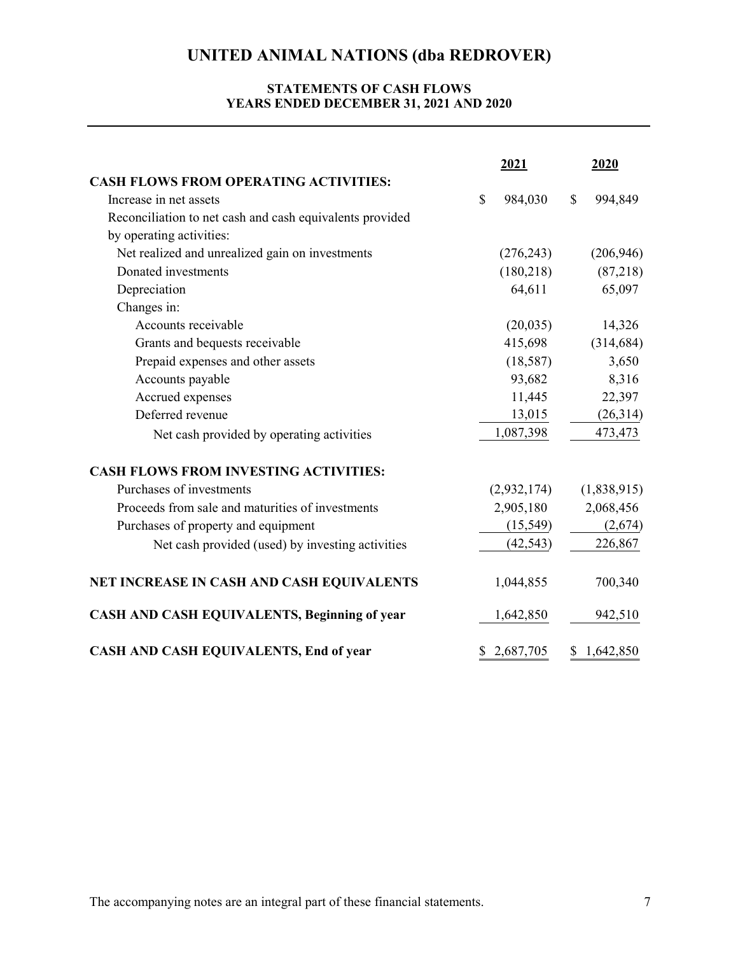## STATEMENTS OF CASH FLOWS YEARS ENDED DECEMBER 31, 2021 AND 2020

|                                                          |              | 2021        | 2020          |
|----------------------------------------------------------|--------------|-------------|---------------|
| <b>CASH FLOWS FROM OPERATING ACTIVITIES:</b>             |              |             |               |
| Increase in net assets                                   | $\mathbb{S}$ | 984,030     | \$<br>994,849 |
| Reconciliation to net cash and cash equivalents provided |              |             |               |
| by operating activities:                                 |              |             |               |
| Net realized and unrealized gain on investments          |              | (276, 243)  | (206, 946)    |
| Donated investments                                      |              | (180, 218)  | (87,218)      |
| Depreciation                                             |              | 64,611      | 65,097        |
| Changes in:                                              |              |             |               |
| Accounts receivable                                      |              | (20,035)    | 14,326        |
| Grants and bequests receivable                           |              | 415,698     | (314, 684)    |
| Prepaid expenses and other assets                        |              | (18,587)    | 3,650         |
| Accounts payable                                         |              | 93,682      | 8,316         |
| Accrued expenses                                         |              | 11,445      | 22,397        |
| Deferred revenue                                         |              | 13,015      | (26,314)      |
| Net cash provided by operating activities                |              | 1,087,398   | 473,473       |
| <b>CASH FLOWS FROM INVESTING ACTIVITIES:</b>             |              |             |               |
| Purchases of investments                                 |              | (2,932,174) | (1,838,915)   |
| Proceeds from sale and maturities of investments         |              | 2,905,180   | 2,068,456     |
| Purchases of property and equipment                      |              | (15, 549)   | (2,674)       |
| Net cash provided (used) by investing activities         |              | (42, 543)   | 226,867       |
| NET INCREASE IN CASH AND CASH EQUIVALENTS                |              | 1,044,855   | 700,340       |
| <b>CASH AND CASH EQUIVALENTS, Beginning of year</b>      |              | 1,642,850   | 942,510       |
| CASH AND CASH EQUIVALENTS, End of year                   |              | \$2,687,705 | \$1,642,850   |

The accompanying notes are an integral part of these financial statements.  $7 \overline{2}$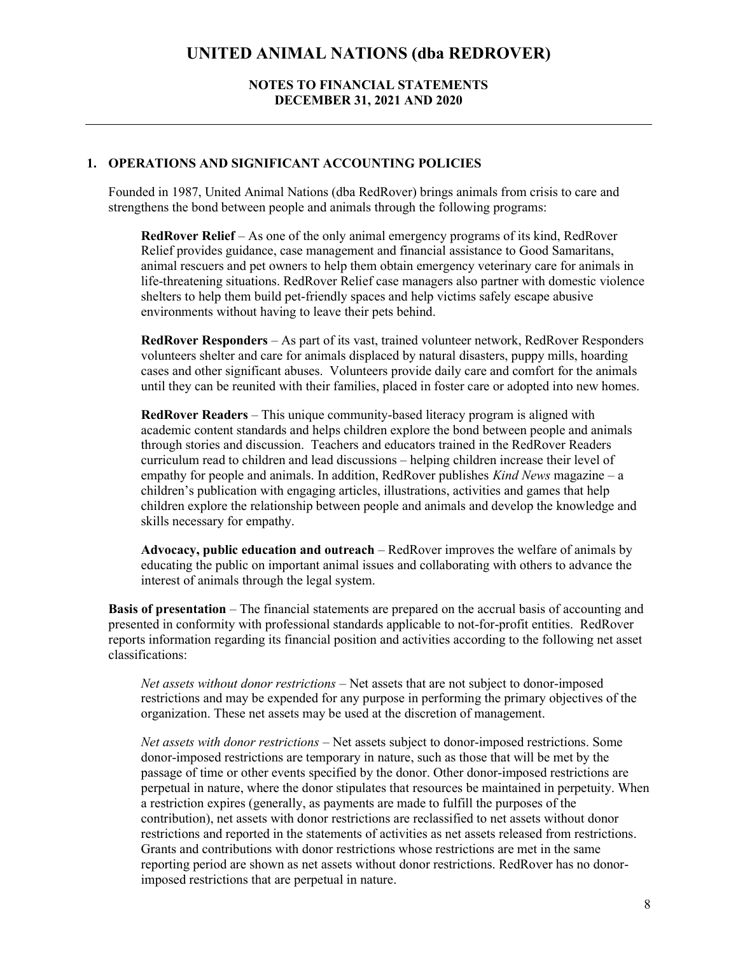### NOTES TO FINANCIAL STATEMENTS DECEMBER 31, 2021 AND 2020

#### 1. OPERATIONS AND SIGNIFICANT ACCOUNTING POLICIES

Founded in 1987, United Animal Nations (dba RedRover) brings animals from crisis to care and strengthens the bond between people and animals through the following programs:

RedRover Relief – As one of the only animal emergency programs of its kind, RedRover Relief provides guidance, case management and financial assistance to Good Samaritans, animal rescuers and pet owners to help them obtain emergency veterinary care for animals in life-threatening situations. RedRover Relief case managers also partner with domestic violence shelters to help them build pet-friendly spaces and help victims safely escape abusive environments without having to leave their pets behind.

RedRover Responders – As part of its vast, trained volunteer network, RedRover Responders volunteers shelter and care for animals displaced by natural disasters, puppy mills, hoarding cases and other significant abuses. Volunteers provide daily care and comfort for the animals until they can be reunited with their families, placed in foster care or adopted into new homes.

RedRover Readers – This unique community-based literacy program is aligned with academic content standards and helps children explore the bond between people and animals through stories and discussion. Teachers and educators trained in the RedRover Readers curriculum read to children and lead discussions – helping children increase their level of empathy for people and animals. In addition, RedRover publishes *Kind News* magazine – a children's publication with engaging articles, illustrations, activities and games that help children explore the relationship between people and animals and develop the knowledge and skills necessary for empathy.

Advocacy, public education and outreach – RedRover improves the welfare of animals by educating the public on important animal issues and collaborating with others to advance the interest of animals through the legal system.

Basis of presentation – The financial statements are prepared on the accrual basis of accounting and presented in conformity with professional standards applicable to not-for-profit entities. RedRover reports information regarding its financial position and activities according to the following net asset classifications:

Net assets without donor restrictions – Net assets that are not subject to donor-imposed restrictions and may be expended for any purpose in performing the primary objectives of the organization. These net assets may be used at the discretion of management.

Net assets with donor restrictions – Net assets subject to donor-imposed restrictions. Some donor-imposed restrictions are temporary in nature, such as those that will be met by the passage of time or other events specified by the donor. Other donor-imposed restrictions are perpetual in nature, where the donor stipulates that resources be maintained in perpetuity. When a restriction expires (generally, as payments are made to fulfill the purposes of the contribution), net assets with donor restrictions are reclassified to net assets without donor restrictions and reported in the statements of activities as net assets released from restrictions. Grants and contributions with donor restrictions whose restrictions are met in the same reporting period are shown as net assets without donor restrictions. RedRover has no donorimposed restrictions that are perpetual in nature.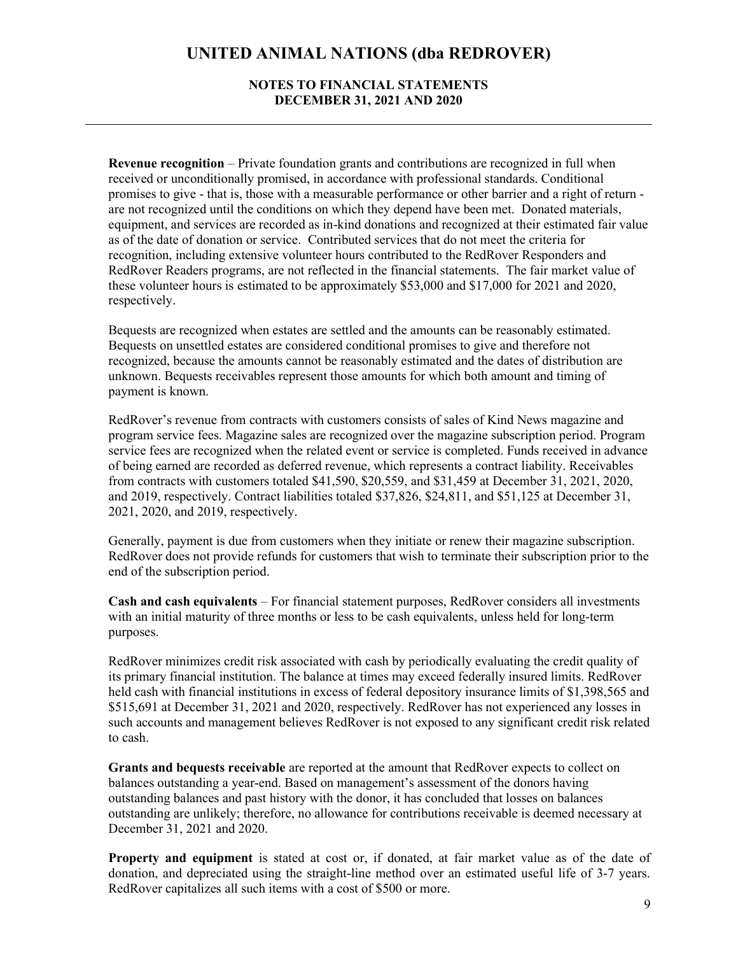Revenue recognition – Private foundation grants and contributions are recognized in full when received or unconditionally promised, in accordance with professional standards. Conditional promises to give - that is, those with a measurable performance or other barrier and a right of return are not recognized until the conditions on which they depend have been met. Donated materials, equipment, and services are recorded as in-kind donations and recognized at their estimated fair value as of the date of donation or service. Contributed services that do not meet the criteria for recognition, including extensive volunteer hours contributed to the RedRover Responders and RedRover Readers programs, are not reflected in the financial statements. The fair market value of these volunteer hours is estimated to be approximately \$53,000 and \$17,000 for 2021 and 2020, respectively.

Bequests are recognized when estates are settled and the amounts can be reasonably estimated. Bequests on unsettled estates are considered conditional promises to give and therefore not recognized, because the amounts cannot be reasonably estimated and the dates of distribution are unknown. Bequests receivables represent those amounts for which both amount and timing of payment is known.

RedRover's revenue from contracts with customers consists of sales of Kind News magazine and program service fees. Magazine sales are recognized over the magazine subscription period. Program service fees are recognized when the related event or service is completed. Funds received in advance of being earned are recorded as deferred revenue, which represents a contract liability. Receivables from contracts with customers totaled \$41,590, \$20,559, and \$31,459 at December 31, 2021, 2020, and 2019, respectively. Contract liabilities totaled \$37,826, \$24,811, and \$51,125 at December 31, 2021, 2020, and 2019, respectively.

Generally, payment is due from customers when they initiate or renew their magazine subscription. RedRover does not provide refunds for customers that wish to terminate their subscription prior to the end of the subscription period.

Cash and cash equivalents – For financial statement purposes, RedRover considers all investments with an initial maturity of three months or less to be cash equivalents, unless held for long-term purposes.

RedRover minimizes credit risk associated with cash by periodically evaluating the credit quality of its primary financial institution. The balance at times may exceed federally insured limits. RedRover held cash with financial institutions in excess of federal depository insurance limits of \$1,398,565 and \$515,691 at December 31, 2021 and 2020, respectively. RedRover has not experienced any losses in such accounts and management believes RedRover is not exposed to any significant credit risk related to cash.

Grants and bequests receivable are reported at the amount that RedRover expects to collect on balances outstanding a year-end. Based on management's assessment of the donors having outstanding balances and past history with the donor, it has concluded that losses on balances outstanding are unlikely; therefore, no allowance for contributions receivable is deemed necessary at December 31, 2021 and 2020.

Property and equipment is stated at cost or, if donated, at fair market value as of the date of donation, and depreciated using the straight-line method over an estimated useful life of 3-7 years. RedRover capitalizes all such items with a cost of \$500 or more.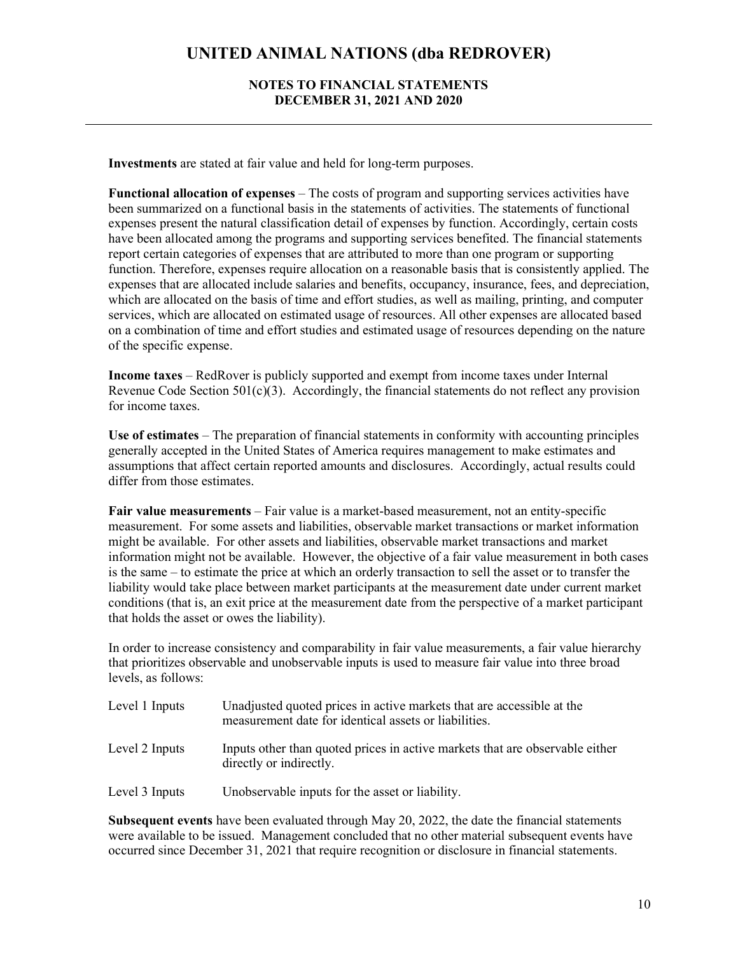### NOTES TO FINANCIAL STATEMENTS DECEMBER 31, 2021 AND 2020

Investments are stated at fair value and held for long-term purposes.

Functional allocation of expenses – The costs of program and supporting services activities have been summarized on a functional basis in the statements of activities. The statements of functional expenses present the natural classification detail of expenses by function. Accordingly, certain costs have been allocated among the programs and supporting services benefited. The financial statements report certain categories of expenses that are attributed to more than one program or supporting function. Therefore, expenses require allocation on a reasonable basis that is consistently applied. The expenses that are allocated include salaries and benefits, occupancy, insurance, fees, and depreciation, which are allocated on the basis of time and effort studies, as well as mailing, printing, and computer services, which are allocated on estimated usage of resources. All other expenses are allocated based on a combination of time and effort studies and estimated usage of resources depending on the nature of the specific expense.

Income taxes – RedRover is publicly supported and exempt from income taxes under Internal Revenue Code Section  $501(c)(3)$ . Accordingly, the financial statements do not reflect any provision for income taxes.

Use of estimates – The preparation of financial statements in conformity with accounting principles generally accepted in the United States of America requires management to make estimates and assumptions that affect certain reported amounts and disclosures. Accordingly, actual results could differ from those estimates.

Fair value measurements - Fair value is a market-based measurement, not an entity-specific measurement. For some assets and liabilities, observable market transactions or market information might be available. For other assets and liabilities, observable market transactions and market information might not be available. However, the objective of a fair value measurement in both cases is the same – to estimate the price at which an orderly transaction to sell the asset or to transfer the liability would take place between market participants at the measurement date under current market conditions (that is, an exit price at the measurement date from the perspective of a market participant that holds the asset or owes the liability).

In order to increase consistency and comparability in fair value measurements, a fair value hierarchy that prioritizes observable and unobservable inputs is used to measure fair value into three broad levels, as follows:

| Level 1 Inputs | Unadjusted quoted prices in active markets that are accessible at the<br>measurement date for identical assets or liabilities. |
|----------------|--------------------------------------------------------------------------------------------------------------------------------|
| Level 2 Inputs | Inputs other than quoted prices in active markets that are observable either<br>directly or indirectly.                        |
| Level 3 Inputs | Unobservable inputs for the asset or liability.                                                                                |

Subsequent events have been evaluated through May 20, 2022, the date the financial statements were available to be issued. Management concluded that no other material subsequent events have occurred since December 31, 2021 that require recognition or disclosure in financial statements.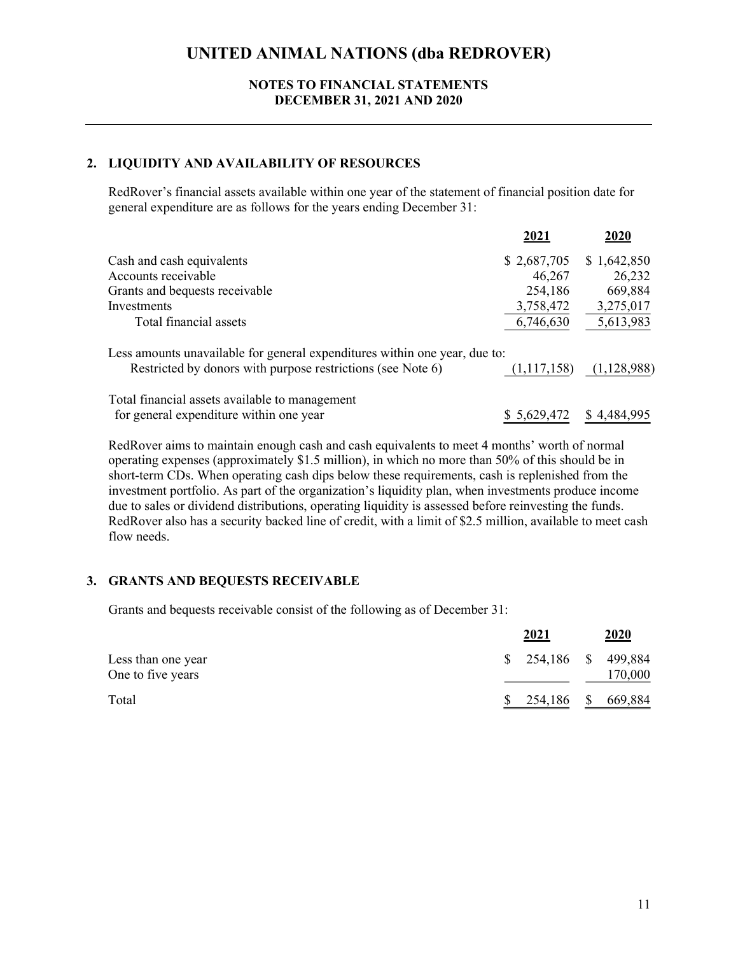#### NOTES TO FINANCIAL STATEMENTS DECEMBER 31, 2021 AND 2020

### 2. LIQUIDITY AND AVAILABILITY OF RESOURCES

RedRover's financial assets available within one year of the statement of financial position date for general expenditure are as follows for the years ending December 31:

|                                                                            | 2021        | 2020        |
|----------------------------------------------------------------------------|-------------|-------------|
| Cash and cash equivalents                                                  | \$2,687,705 | \$1,642,850 |
| Accounts receivable                                                        | 46,267      | 26,232      |
| Grants and bequests receivable                                             | 254,186     | 669,884     |
| Investments                                                                | 3,758,472   | 3,275,017   |
| Total financial assets                                                     | 6,746,630   | 5,613,983   |
| Less amounts unavailable for general expenditures within one year, due to: |             |             |
| Restricted by donors with purpose restrictions (see Note 6)                | (1,117,158) | (1,128,988) |
| Total financial assets available to management                             |             |             |
| for general expenditure within one year                                    | \$5,629,472 | \$4,484,995 |

RedRover aims to maintain enough cash and cash equivalents to meet 4 months' worth of normal operating expenses (approximately \$1.5 million), in which no more than 50% of this should be in short-term CDs. When operating cash dips below these requirements, cash is replenished from the investment portfolio. As part of the organization's liquidity plan, when investments produce income due to sales or dividend distributions, operating liquidity is assessed before reinvesting the funds. RedRover also has a security backed line of credit, with a limit of \$2.5 million, available to meet cash flow needs.

### 3. GRANTS AND BEQUESTS RECEIVABLE

Grants and bequests receivable consist of the following as of December 31:

|                                         | 2021                  | 2020    |
|-----------------------------------------|-----------------------|---------|
| Less than one year<br>One to five years | $$254,186$ $$499,884$ | 170,000 |
| Total                                   | 254,186 \$            | 669,884 |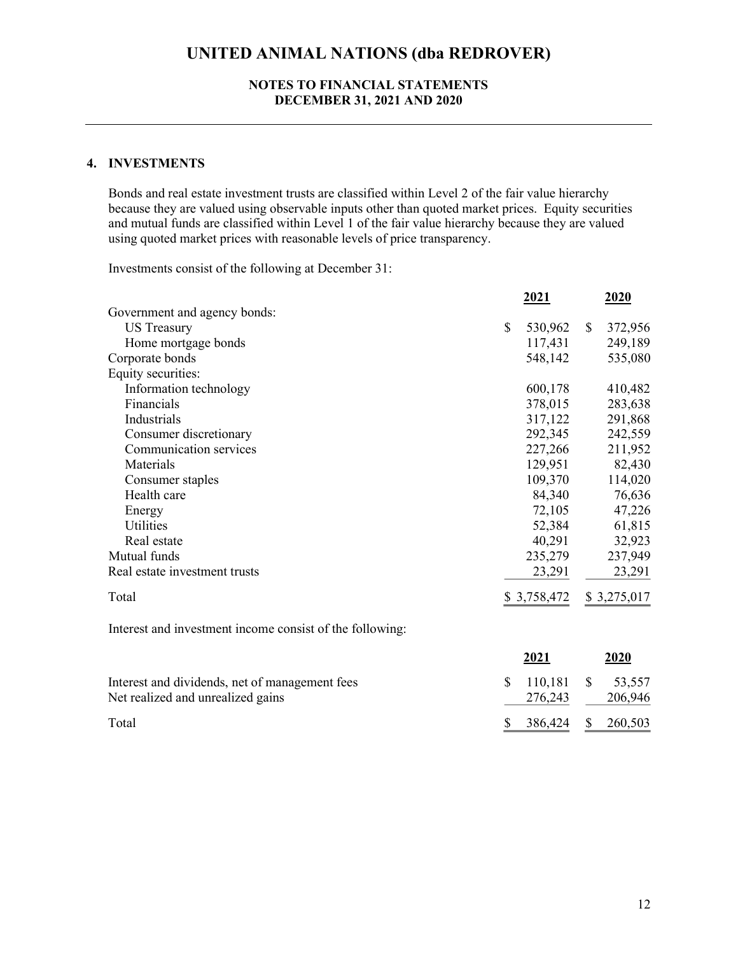### 4. INVESTMENTS

Bonds and real estate investment trusts are classified within Level 2 of the fair value hierarchy because they are valued using observable inputs other than quoted market prices. Equity securities and mutual funds are classified within Level 1 of the fair value hierarchy because they are valued using quoted market prices with reasonable levels of price transparency.

Investments consist of the following at December 31:

|                                                          |               | <u>2021</u> |               | 2020        |
|----------------------------------------------------------|---------------|-------------|---------------|-------------|
| Government and agency bonds:                             |               |             |               |             |
| <b>US</b> Treasury                                       | $\mathbb{S}$  | 530,962     | $\mathcal{S}$ | 372,956     |
| Home mortgage bonds                                      |               | 117,431     |               | 249,189     |
| Corporate bonds                                          |               | 548,142     |               | 535,080     |
| Equity securities:                                       |               |             |               |             |
| Information technology                                   |               | 600,178     |               | 410,482     |
| Financials                                               |               | 378,015     |               | 283,638     |
| Industrials                                              |               | 317,122     |               | 291,868     |
| Consumer discretionary                                   |               | 292,345     |               | 242,559     |
| Communication services                                   |               | 227,266     |               | 211,952     |
| Materials                                                |               | 129,951     |               | 82,430      |
| Consumer staples                                         |               | 109,370     |               | 114,020     |
| Health care                                              |               | 84,340      |               | 76,636      |
| Energy                                                   |               | 72,105      |               | 47,226      |
| Utilities                                                |               | 52,384      |               | 61,815      |
| Real estate                                              |               | 40,291      |               | 32,923      |
| Mutual funds                                             |               | 235,279     |               | 237,949     |
| Real estate investment trusts                            |               | 23,291      |               | 23,291      |
| Total                                                    |               | \$3,758,472 |               | \$3,275,017 |
| Interest and investment income consist of the following: |               |             |               |             |
|                                                          |               | <u>2021</u> |               | 2020        |
| Interest and dividends, net of management fees           | $\mathcal{S}$ | 110,181     | \$            | 53,557      |
| Net realized and unrealized gains                        |               | 276,243     |               | 206,946     |
| Total                                                    | \$            | 386,424     | \$            | 260,503     |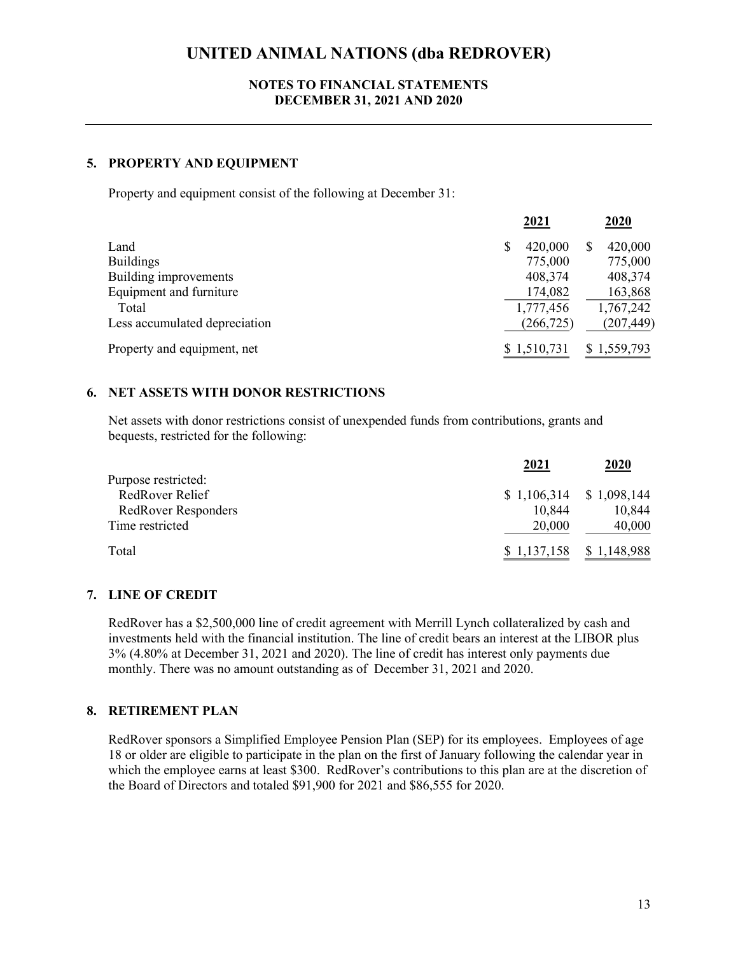## 5. PROPERTY AND EQUIPMENT

Property and equipment consist of the following at December 31:

|                               | 2021          | 2020        |
|-------------------------------|---------------|-------------|
| Land                          | \$<br>420,000 | 420,000     |
| <b>Buildings</b>              | 775,000       | 775,000     |
| Building improvements         | 408,374       | 408,374     |
| Equipment and furniture       | 174,082       | 163,868     |
| Total                         | 1,777,456     | 1,767,242   |
| Less accumulated depreciation | (266, 725)    | (207, 449)  |
| Property and equipment, net   | \$1,510,731   | \$1,559,793 |

## 6. NET ASSETS WITH DONOR RESTRICTIONS

Net assets with donor restrictions consist of unexpended funds from contributions, grants and bequests, restricted for the following:

|                     | 2021                      | 2020        |
|---------------------|---------------------------|-------------|
| Purpose restricted: |                           |             |
| RedRover Relief     | $$1,106,314$ $$1,098,144$ |             |
| RedRover Responders | 10,844                    | 10,844      |
| Time restricted     | 20,000                    | 40,000      |
| Total               | \$1,137,158               | \$1,148,988 |

## 7. LINE OF CREDIT

RedRover has a \$2,500,000 line of credit agreement with Merrill Lynch collateralized by cash and investments held with the financial institution. The line of credit bears an interest at the LIBOR plus 3% (4.80% at December 31, 2021 and 2020). The line of credit has interest only payments due monthly. There was no amount outstanding as of December 31, 2021 and 2020.

## 8. RETIREMENT PLAN

RedRover sponsors a Simplified Employee Pension Plan (SEP) for its employees. Employees of age 18 or older are eligible to participate in the plan on the first of January following the calendar year in which the employee earns at least \$300. RedRover's contributions to this plan are at the discretion of the Board of Directors and totaled \$91,900 for 2021 and \$86,555 for 2020.